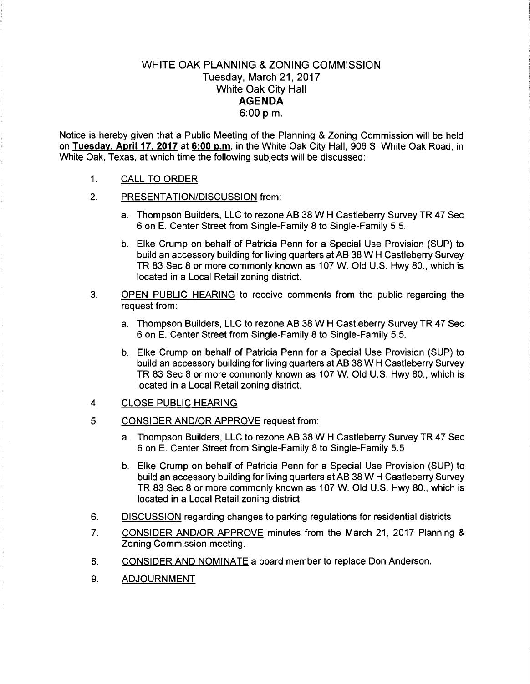## WHITE OAK PLANNING & ZONING COMMISSION Tuesday, March 21,2017 White Oak City Hall **AGENDA**  6:00p.m.

Notice is hereby given that a Public Meeting of the Planning & Zoning Commission will be held on **Tuesday, April 17, 2017** at 6:00 p.m. in the White Oak City Hall, 906 S. White Oak Road, in White Oak, Texas, at which time the following subjects will be discussed:

- 1. CALL TO ORDER
- 2. PRESENTATION/DISCUSSION from:
	- a. Thompson Builders, LLC to rezone AB 38 W H Castleberry Survey TR 47 Sec 6 on E. Center Street from Single-Family 8 to Single-Family 5.5.
	- b. Elke Crump on behalf of Patricia Penn for a Special Use Provision (SUP) to build an accessory building for living quarters at AB 38 W H Castleberry Survey TR 83 Sec 8 or more commonly known as 107 W. Old U.S. Hwy 80., which is located in a Local Retail zoning district.
- 3. OPEN PUBLIC HEARING to receive comments from the public regarding the request from:
	- a. Thompson Builders, LLC to rezone AB 38 W H Castleberry Survey TR 47 Sec 6 on E. Center Street from Single-Family 8 to Single-Family 5.5.
	- b. Elke Crump on behalf of Patricia Penn for a Special Use Provision (SUP) to build an accessory building for living quarters at AB 38 W H Castleberry Survey TR 83 Sec 8 or more commonly known as 107 W. Old U.S. Hwy 80., which is located in a Local Retail zoning district.
- 4. CLOSE PUBLIC HEARING
- 5. CONSIDER AND/OR APPROVE request from:
	- a. Thompson Builders, LLC to rezone AB 38 W H Castleberry Survey TR 47 Sec 6 on E. Center Street from Single-Family 8 to Single-Family 5.5
	- b. Elke Crump on behalf of Patricia Penn for a Special Use Provision (SUP) to build an accessory building for living quarters at AB 38 W H Castleberry Survey TR 83 Sec 8 or more commonly known as 107 W. Old U.S. Hwy 80., which is located in a Local Retail zoning district.
- 6. DISCUSSION regarding changes to parking regulations for residential districts
- 7. CONSIDER AND/OR APPROVE minutes from the March 21, 2017 Planning & Zoning Commission meeting.
- 8. CONSIDER AND NOMINATE a board member to replace Don Anderson.
- 9. ADJOURNMENT